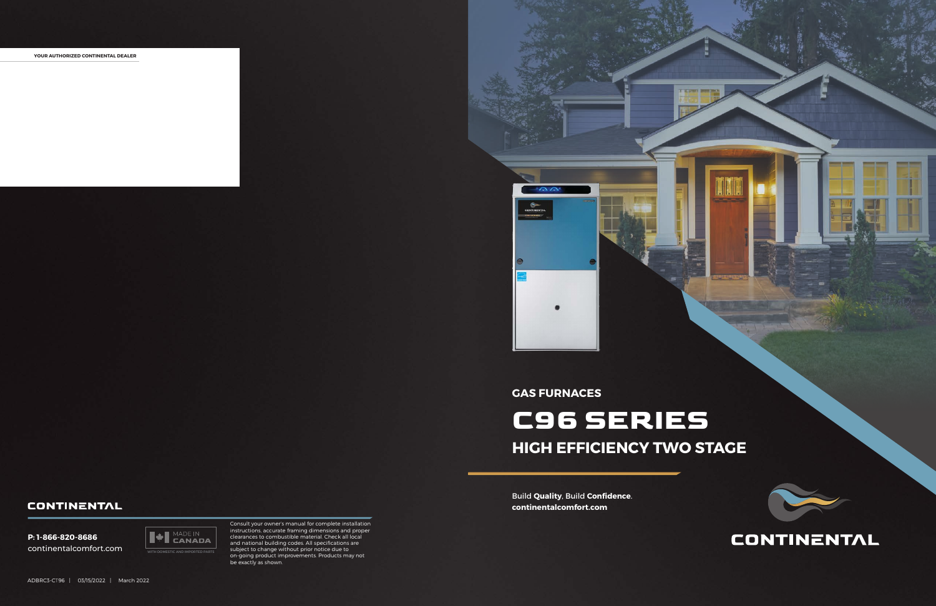

### **CONTINENTAL**

Build **Quality**, Build **Confidence**. **continentalcomfort.com**

**YOUR AUTHORIZED CONTINENTAL DEALER**





Consult your owner's manual for complete installation instructions, accurate framing dimensions and proper clearances to combustible material. Check all local and national building codes. All specifications are subject to change without prior notice due to on-going product improvements. Products may not be exactly as shown.

### **GAS FURNACES**

# **C96 SERIES HIGH EFFICIENCY TWO STAGE**

#### **CONTINENTAL**

**P: 1-866-820-8686** continentalcomfort.com